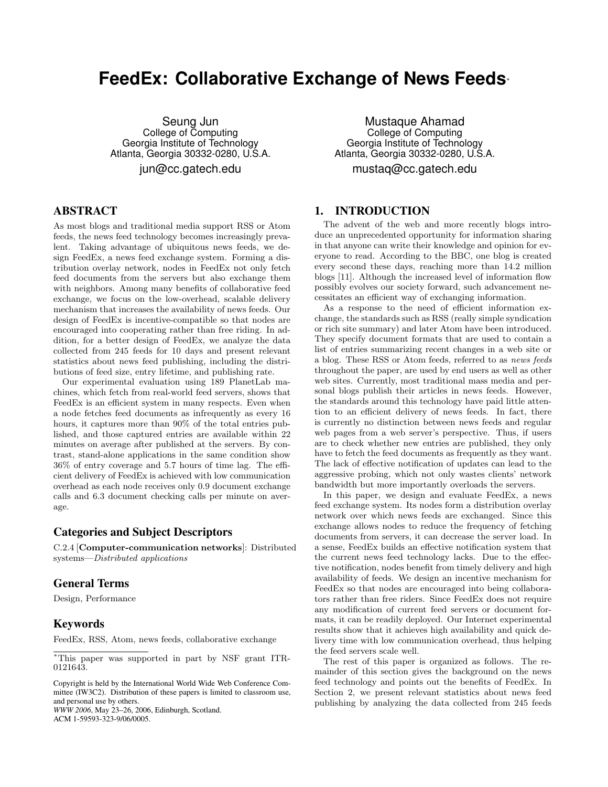# **FeedEx: Collaborative Exchange of News Feeds**<sup>∗</sup>

Seung Jun College of Computing Georgia Institute of Technology Atlanta, Georgia 30332-0280, U.S.A. jun@cc.gatech.edu

# **ABSTRACT**

As most blogs and traditional media support RSS or Atom feeds, the news feed technology becomes increasingly prevalent. Taking advantage of ubiquitous news feeds, we design FeedEx, a news feed exchange system. Forming a distribution overlay network, nodes in FeedEx not only fetch feed documents from the servers but also exchange them with neighbors. Among many benefits of collaborative feed exchange, we focus on the low-overhead, scalable delivery mechanism that increases the availability of news feeds. Our design of FeedEx is incentive-compatible so that nodes are encouraged into cooperating rather than free riding. In addition, for a better design of FeedEx, we analyze the data collected from 245 feeds for 10 days and present relevant statistics about news feed publishing, including the distributions of feed size, entry lifetime, and publishing rate.

Our experimental evaluation using 189 PlanetLab machines, which fetch from real-world feed servers, shows that FeedEx is an efficient system in many respects. Even when a node fetches feed documents as infrequently as every 16 hours, it captures more than 90% of the total entries published, and those captured entries are available within 22 minutes on average after published at the servers. By contrast, stand-alone applications in the same condition show 36% of entry coverage and 5.7 hours of time lag. The efficient delivery of FeedEx is achieved with low communication overhead as each node receives only 0.9 document exchange calls and 6.3 document checking calls per minute on average.

## **Categories and Subject Descriptors**

C.2.4 [Computer-communication networks]: Distributed systems—Distributed applications

## **General Terms**

Design, Performance

## **Keywords**

FeedEx, RSS, Atom, news feeds, collaborative exchange

*WWW 2006*, May 23–26, 2006, Edinburgh, Scotland. ACM 1-59593-323-9/06/0005.

Mustaque Ahamad College of Computing Georgia Institute of Technology Atlanta, Georgia 30332-0280, U.S.A. mustaq@cc.gatech.edu

# **1. INTRODUCTION**

The advent of the web and more recently blogs introduce an unprecedented opportunity for information sharing in that anyone can write their knowledge and opinion for everyone to read. According to the BBC, one blog is created every second these days, reaching more than 14.2 million blogs [11]. Although the increased level of information flow possibly evolves our society forward, such advancement necessitates an efficient way of exchanging information.

As a response to the need of efficient information exchange, the standards such as RSS (really simple syndication or rich site summary) and later Atom have been introduced. They specify document formats that are used to contain a list of entries summarizing recent changes in a web site or a blog. These RSS or Atom feeds, referred to as news feeds throughout the paper, are used by end users as well as other web sites. Currently, most traditional mass media and personal blogs publish their articles in news feeds. However, the standards around this technology have paid little attention to an efficient delivery of news feeds. In fact, there is currently no distinction between news feeds and regular web pages from a web server's perspective. Thus, if users are to check whether new entries are published, they only have to fetch the feed documents as frequently as they want. The lack of effective notification of updates can lead to the aggressive probing, which not only wastes clients' network bandwidth but more importantly overloads the servers.

In this paper, we design and evaluate FeedEx, a news feed exchange system. Its nodes form a distribution overlay network over which news feeds are exchanged. Since this exchange allows nodes to reduce the frequency of fetching documents from servers, it can decrease the server load. In a sense, FeedEx builds an effective notification system that the current news feed technology lacks. Due to the effective notification, nodes benefit from timely delivery and high availability of feeds. We design an incentive mechanism for FeedEx so that nodes are encouraged into being collaborators rather than free riders. Since FeedEx does not require any modification of current feed servers or document formats, it can be readily deployed. Our Internet experimental results show that it achieves high availability and quick delivery time with low communication overhead, thus helping the feed servers scale well.

The rest of this paper is organized as follows. The remainder of this section gives the background on the news feed technology and points out the benefits of FeedEx. In Section 2, we present relevant statistics about news feed publishing by analyzing the data collected from 245 feeds

<sup>∗</sup>This paper was supported in part by NSF grant ITR-0121643.

Copyright is held by the International World Wide Web Conference Committee (IW3C2). Distribution of these papers is limited to classroom use, and personal use by others.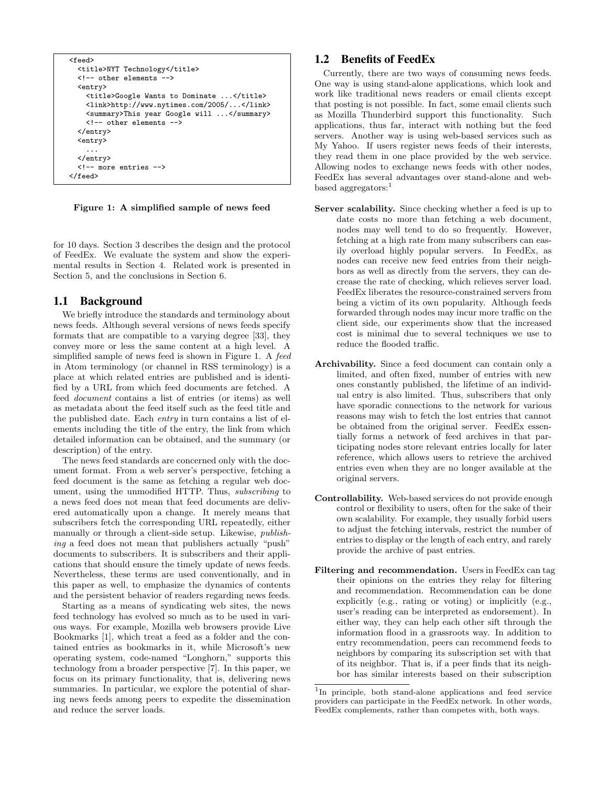```
<feed>
  <title>NYT Technology</title>
  <!-- other elements -->
  <entry>
    <title>Google Wants to Dominate ...</title>
    <link>http://www.nytimes.com/2005/...</link>
    <summary>This year Google will ...</summary>
    <!-- other elements -->
  </entry>
  <entry>
    ...
  </entry>
  <!-- more entries -->
</feed>
```
Figure 1: A simplified sample of news feed

for 10 days. Section 3 describes the design and the protocol of FeedEx. We evaluate the system and show the experimental results in Section 4. Related work is presented in Section 5, and the conclusions in Section 6.

## **1.1 Background**

We briefly introduce the standards and terminology about news feeds. Although several versions of news feeds specify formats that are compatible to a varying degree [33], they convey more or less the same content at a high level. A simplified sample of news feed is shown in Figure 1. A feed in Atom terminology (or channel in RSS terminology) is a place at which related entries are published and is identified by a URL from which feed documents are fetched. A feed document contains a list of entries (or items) as well as metadata about the feed itself such as the feed title and the published date. Each entry in turn contains a list of elements including the title of the entry, the link from which detailed information can be obtained, and the summary (or description) of the entry.

The news feed standards are concerned only with the document format. From a web server's perspective, fetching a feed document is the same as fetching a regular web document, using the unmodified HTTP. Thus, subscribing to a news feed does not mean that feed documents are delivered automatically upon a change. It merely means that subscribers fetch the corresponding URL repeatedly, either manually or through a client-side setup. Likewise, publishing a feed does not mean that publishers actually "push" documents to subscribers. It is subscribers and their applications that should ensure the timely update of news feeds. Nevertheless, these terms are used conventionally, and in this paper as well, to emphasize the dynamics of contents and the persistent behavior of readers regarding news feeds.

Starting as a means of syndicating web sites, the news feed technology has evolved so much as to be used in various ways. For example, Mozilla web browsers provide Live Bookmarks [1], which treat a feed as a folder and the contained entries as bookmarks in it, while Microsoft's new operating system, code-named "Longhorn," supports this technology from a broader perspective [7]. In this paper, we focus on its primary functionality, that is, delivering news summaries. In particular, we explore the potential of sharing news feeds among peers to expedite the dissemination and reduce the server loads.

## **1.2 Benefits of FeedEx**

Currently, there are two ways of consuming news feeds. One way is using stand-alone applications, which look and work like traditional news readers or email clients except that posting is not possible. In fact, some email clients such as Mozilla Thunderbird support this functionality. Such applications, thus far, interact with nothing but the feed servers. Another way is using web-based services such as My Yahoo. If users register news feeds of their interests, they read them in one place provided by the web service. Allowing nodes to exchange news feeds with other nodes, FeedEx has several advantages over stand-alone and webbased aggregators:<sup>1</sup>

- Server scalability. Since checking whether a feed is up to date costs no more than fetching a web document, nodes may well tend to do so frequently. However, fetching at a high rate from many subscribers can easily overload highly popular servers. In FeedEx, as nodes can receive new feed entries from their neighbors as well as directly from the servers, they can decrease the rate of checking, which relieves server load. FeedEx liberates the resource-constrained servers from being a victim of its own popularity. Although feeds forwarded through nodes may incur more traffic on the client side, our experiments show that the increased cost is minimal due to several techniques we use to reduce the flooded traffic.
- Archivability. Since a feed document can contain only a limited, and often fixed, number of entries with new ones constantly published, the lifetime of an individual entry is also limited. Thus, subscribers that only have sporadic connections to the network for various reasons may wish to fetch the lost entries that cannot be obtained from the original server. FeedEx essentially forms a network of feed archives in that participating nodes store relevant entries locally for later reference, which allows users to retrieve the archived entries even when they are no longer available at the original servers.
- Controllability. Web-based services do not provide enough control or flexibility to users, often for the sake of their own scalability. For example, they usually forbid users to adjust the fetching intervals, restrict the number of entries to display or the length of each entry, and rarely provide the archive of past entries.
- Filtering and recommendation. Users in FeedEx can tag their opinions on the entries they relay for filtering and recommendation. Recommendation can be done explicitly (e.g., rating or voting) or implicitly (e.g., user's reading can be interpreted as endorsement). In either way, they can help each other sift through the information flood in a grassroots way. In addition to entry recommendation, peers can recommend feeds to neighbors by comparing its subscription set with that of its neighbor. That is, if a peer finds that its neighbor has similar interests based on their subscription

<sup>&</sup>lt;sup>1</sup>In principle, both stand-alone applications and feed service providers can participate in the FeedEx network. In other words, FeedEx complements, rather than competes with, both ways.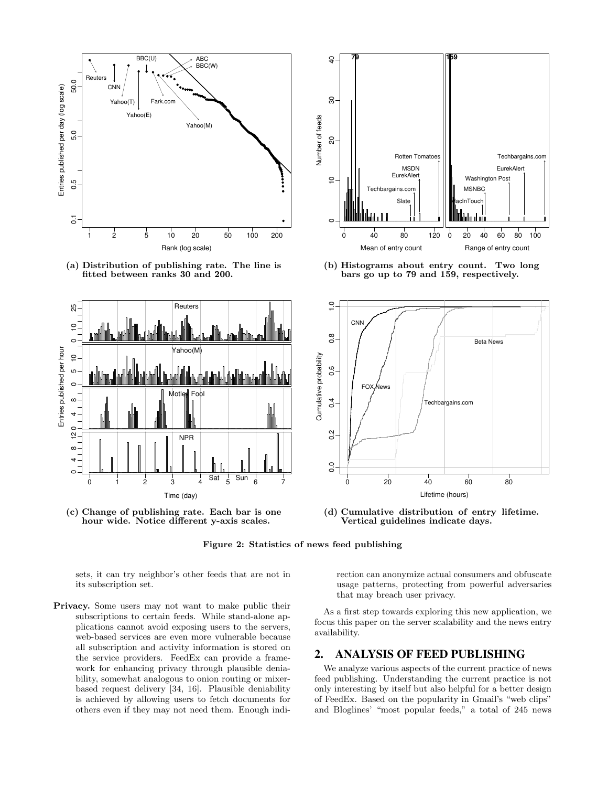

(a) Distribution of publishing rate. The line is fitted between ranks 30 and 200.







(b) Histograms about entry count. Two long bars go up to 79 and 159, respectively.



(d) Cumulative distribution of entry lifetime. Vertical guidelines indicate days.



sets, it can try neighbor's other feeds that are not in its subscription set.

Privacy. Some users may not want to make public their subscriptions to certain feeds. While stand-alone applications cannot avoid exposing users to the servers, web-based services are even more vulnerable because all subscription and activity information is stored on the service providers. FeedEx can provide a framework for enhancing privacy through plausible deniability, somewhat analogous to onion routing or mixerbased request delivery [34, 16]. Plausible deniability is achieved by allowing users to fetch documents for others even if they may not need them. Enough indirection can anonymize actual consumers and obfuscate usage patterns, protecting from powerful adversaries that may breach user privacy.

As a first step towards exploring this new application, we focus this paper on the server scalability and the news entry availability.

# **2. ANALYSIS OF FEED PUBLISHING**

We analyze various aspects of the current practice of news feed publishing. Understanding the current practice is not only interesting by itself but also helpful for a better design of FeedEx. Based on the popularity in Gmail's "web clips" and Bloglines' "most popular feeds," a total of 245 news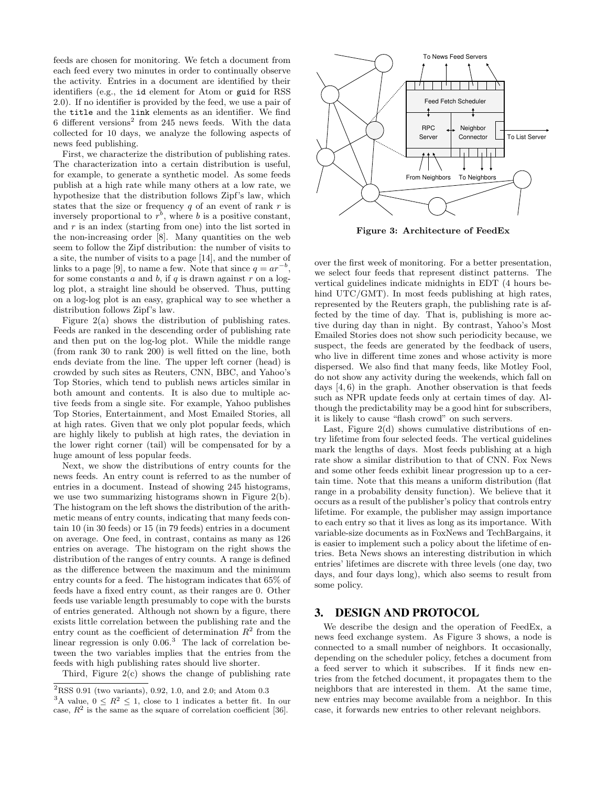feeds are chosen for monitoring. We fetch a document from each feed every two minutes in order to continually observe the activity. Entries in a document are identified by their identifiers (e.g., the id element for Atom or guid for RSS 2.0). If no identifier is provided by the feed, we use a pair of the title and the link elements as an identifier. We find 6 different versions<sup>2</sup> from 245 news feeds. With the data collected for 10 days, we analyze the following aspects of news feed publishing.

First, we characterize the distribution of publishing rates. The characterization into a certain distribution is useful, for example, to generate a synthetic model. As some feeds publish at a high rate while many others at a low rate, we hypothesize that the distribution follows Zipf's law, which states that the size or frequency  $q$  of an event of rank  $r$  is inversely proportional to  $r^b$ , where b is a positive constant, and  $r$  is an index (starting from one) into the list sorted in the non-increasing order [8]. Many quantities on the web seem to follow the Zipf distribution: the number of visits to a site, the number of visits to a page [14], and the number of links to a page [9], to name a few. Note that since  $q = ar^{-b}$ , for some constants  $a$  and  $b$ , if  $q$  is drawn against  $r$  on a loglog plot, a straight line should be observed. Thus, putting on a log-log plot is an easy, graphical way to see whether a distribution follows Zipf's law.

Figure 2(a) shows the distribution of publishing rates. Feeds are ranked in the descending order of publishing rate and then put on the log-log plot. While the middle range (from rank 30 to rank 200) is well fitted on the line, both ends deviate from the line. The upper left corner (head) is crowded by such sites as Reuters, CNN, BBC, and Yahoo's Top Stories, which tend to publish news articles similar in both amount and contents. It is also due to multiple active feeds from a single site. For example, Yahoo publishes Top Stories, Entertainment, and Most Emailed Stories, all at high rates. Given that we only plot popular feeds, which are highly likely to publish at high rates, the deviation in the lower right corner (tail) will be compensated for by a huge amount of less popular feeds.

Next, we show the distributions of entry counts for the news feeds. An entry count is referred to as the number of entries in a document. Instead of showing 245 histograms, we use two summarizing histograms shown in Figure 2(b). The histogram on the left shows the distribution of the arithmetic means of entry counts, indicating that many feeds contain 10 (in 30 feeds) or 15 (in 79 feeds) entries in a document on average. One feed, in contrast, contains as many as 126 entries on average. The histogram on the right shows the distribution of the ranges of entry counts. A range is defined as the difference between the maximum and the minimum entry counts for a feed. The histogram indicates that 65% of feeds have a fixed entry count, as their ranges are 0. Other feeds use variable length presumably to cope with the bursts of entries generated. Although not shown by a figure, there exists little correlation between the publishing rate and the entry count as the coefficient of determination  $R^2$  from the linear regression is only  $0.06<sup>3</sup>$ . The lack of correlation between the two variables implies that the entries from the feeds with high publishing rates should live shorter.

Third, Figure 2(c) shows the change of publishing rate



Figure 3: Architecture of FeedEx

over the first week of monitoring. For a better presentation, we select four feeds that represent distinct patterns. The vertical guidelines indicate midnights in EDT (4 hours behind UTC/GMT). In most feeds publishing at high rates, represented by the Reuters graph, the publishing rate is affected by the time of day. That is, publishing is more active during day than in night. By contrast, Yahoo's Most Emailed Stories does not show such periodicity because, we suspect, the feeds are generated by the feedback of users, who live in different time zones and whose activity is more dispersed. We also find that many feeds, like Motley Fool, do not show any activity during the weekends, which fall on days [4, 6) in the graph. Another observation is that feeds such as NPR update feeds only at certain times of day. Although the predictability may be a good hint for subscribers, it is likely to cause "flash crowd" on such servers.

Last, Figure 2(d) shows cumulative distributions of entry lifetime from four selected feeds. The vertical guidelines mark the lengths of days. Most feeds publishing at a high rate show a similar distribution to that of CNN. Fox News and some other feeds exhibit linear progression up to a certain time. Note that this means a uniform distribution (flat range in a probability density function). We believe that it occurs as a result of the publisher's policy that controls entry lifetime. For example, the publisher may assign importance to each entry so that it lives as long as its importance. With variable-size documents as in FoxNews and TechBargains, it is easier to implement such a policy about the lifetime of entries. Beta News shows an interesting distribution in which entries' lifetimes are discrete with three levels (one day, two days, and four days long), which also seems to result from some policy.

## **3. DESIGN AND PROTOCOL**

We describe the design and the operation of FeedEx, a news feed exchange system. As Figure 3 shows, a node is connected to a small number of neighbors. It occasionally, depending on the scheduler policy, fetches a document from a feed server to which it subscribes. If it finds new entries from the fetched document, it propagates them to the neighbors that are interested in them. At the same time, new entries may become available from a neighbor. In this case, it forwards new entries to other relevant neighbors.

 ${}^{2}$ RSS 0.91 (two variants), 0.92, 1.0, and 2.0; and Atom 0.3 <sup>3</sup>A value,  $0 \le R^2 \le 1$ , close to 1 indicates a better fit. In our case,  $R^2$  is the same as the square of correlation coefficient [36].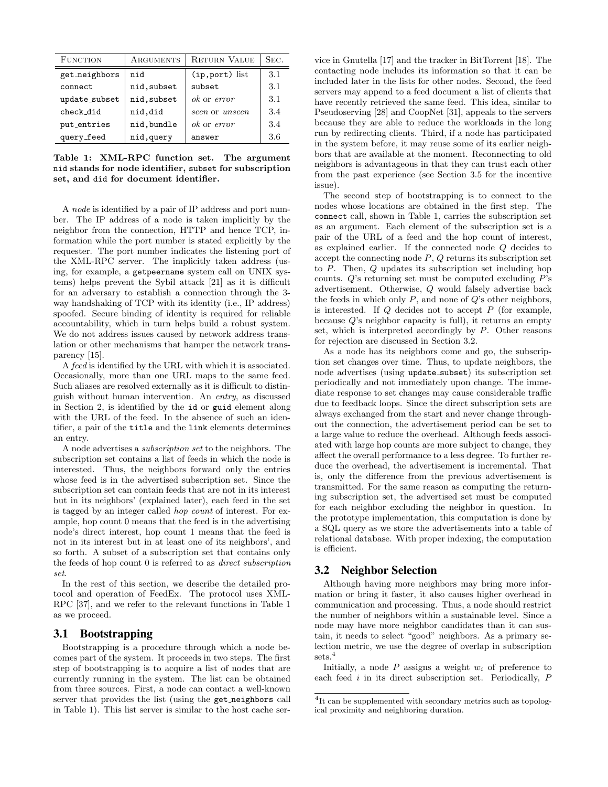| <b>FUNCTION</b> | ARGUMENTS   | <b>RETURN VALUE</b>   | SEC. |
|-----------------|-------------|-----------------------|------|
| get_neighbors   | nid         | (ip, port) list       | 3.1  |
| connect         | nid, subset | subset                | 3.1  |
| update_subset   | nid, subset | ok or error           | 3.1  |
| check_did       | nid, did    | seen or <i>unseen</i> | 3.4  |
| put_entries     | nid, bundle | ok or error           | 3.4  |
| query_feed      | nid, query  | answer                | 3.6  |

Table 1: XML-RPC function set. The argument nid stands for node identifier, subset for subscription set, and did for document identifier.

A node is identified by a pair of IP address and port number. The IP address of a node is taken implicitly by the neighbor from the connection, HTTP and hence TCP, information while the port number is stated explicitly by the requester. The port number indicates the listening port of the XML-RPC server. The implicitly taken address (using, for example, a getpeername system call on UNIX systems) helps prevent the Sybil attack [21] as it is difficult for an adversary to establish a connection through the 3 way handshaking of TCP with its identity (i.e., IP address) spoofed. Secure binding of identity is required for reliable accountability, which in turn helps build a robust system. We do not address issues caused by network address translation or other mechanisms that hamper the network transparency [15].

A feed is identified by the URL with which it is associated. Occasionally, more than one URL maps to the same feed. Such aliases are resolved externally as it is difficult to distinguish without human intervention. An entry, as discussed in Section 2, is identified by the id or guid element along with the URL of the feed. In the absence of such an identifier, a pair of the title and the link elements determines an entry.

A node advertises a subscription set to the neighbors. The subscription set contains a list of feeds in which the node is interested. Thus, the neighbors forward only the entries whose feed is in the advertised subscription set. Since the subscription set can contain feeds that are not in its interest but in its neighbors' (explained later), each feed in the set is tagged by an integer called hop count of interest. For example, hop count 0 means that the feed is in the advertising node's direct interest, hop count 1 means that the feed is not in its interest but in at least one of its neighbors', and so forth. A subset of a subscription set that contains only the feeds of hop count 0 is referred to as direct subscription set.

In the rest of this section, we describe the detailed protocol and operation of FeedEx. The protocol uses XML-RPC [37], and we refer to the relevant functions in Table 1 as we proceed.

#### **3.1 Bootstrapping**

Bootstrapping is a procedure through which a node becomes part of the system. It proceeds in two steps. The first step of bootstrapping is to acquire a list of nodes that are currently running in the system. The list can be obtained from three sources. First, a node can contact a well-known server that provides the list (using the get neighbors call in Table 1). This list server is similar to the host cache service in Gnutella [17] and the tracker in BitTorrent [18]. The contacting node includes its information so that it can be included later in the lists for other nodes. Second, the feed servers may append to a feed document a list of clients that have recently retrieved the same feed. This idea, similar to Pseudoserving [28] and CoopNet [31], appeals to the servers because they are able to reduce the workloads in the long run by redirecting clients. Third, if a node has participated in the system before, it may reuse some of its earlier neighbors that are available at the moment. Reconnecting to old neighbors is advantageous in that they can trust each other from the past experience (see Section 3.5 for the incentive issue).

The second step of bootstrapping is to connect to the nodes whose locations are obtained in the first step. The connect call, shown in Table 1, carries the subscription set as an argument. Each element of the subscription set is a pair of the URL of a feed and the hop count of interest, as explained earlier. If the connected node Q decides to accept the connecting node  $P$ ,  $Q$  returns its subscription set to P. Then, Q updates its subscription set including hop counts. Q's returning set must be computed excluding P's advertisement. Otherwise, Q would falsely advertise back the feeds in which only  $P$ , and none of  $Q$ 's other neighbors, is interested. If  $Q$  decides not to accept  $P$  (for example, because Q's neighbor capacity is full), it returns an empty set, which is interpreted accordingly by  $P$ . Other reasons for rejection are discussed in Section 3.2.

As a node has its neighbors come and go, the subscription set changes over time. Thus, to update neighbors, the node advertises (using update subset) its subscription set periodically and not immediately upon change. The immediate response to set changes may cause considerable traffic due to feedback loops. Since the direct subscription sets are always exchanged from the start and never change throughout the connection, the advertisement period can be set to a large value to reduce the overhead. Although feeds associated with large hop counts are more subject to change, they affect the overall performance to a less degree. To further reduce the overhead, the advertisement is incremental. That is, only the difference from the previous advertisement is transmitted. For the same reason as computing the returning subscription set, the advertised set must be computed for each neighbor excluding the neighbor in question. In the prototype implementation, this computation is done by a SQL query as we store the advertisements into a table of relational database. With proper indexing, the computation is efficient.

## **3.2 Neighbor Selection**

Although having more neighbors may bring more information or bring it faster, it also causes higher overhead in communication and processing. Thus, a node should restrict the number of neighbors within a sustainable level. Since a node may have more neighbor candidates than it can sustain, it needs to select "good" neighbors. As a primary selection metric, we use the degree of overlap in subscription sets. 4

Initially, a node  $P$  assigns a weight  $w_i$  of preference to each feed  $i$  in its direct subscription set. Periodically,  $P$ 

<sup>&</sup>lt;sup>4</sup>It can be supplemented with secondary metrics such as topological proximity and neighboring duration.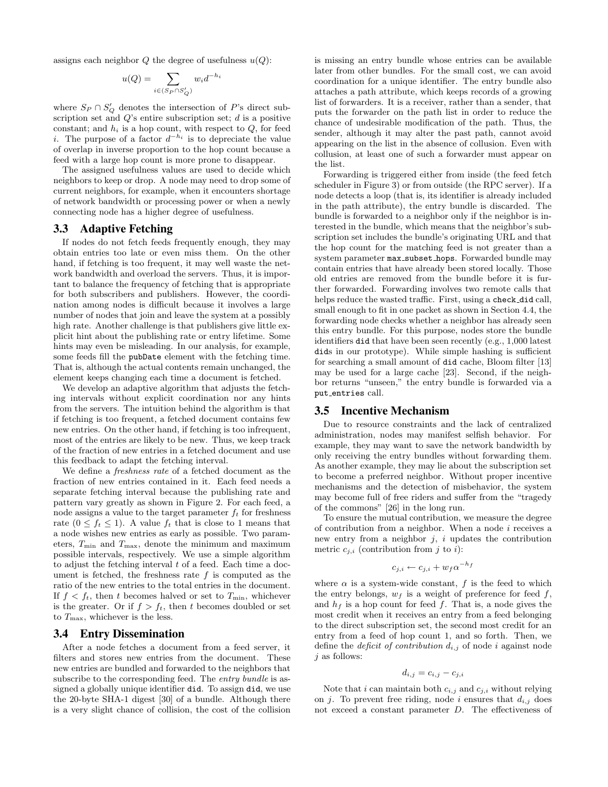assigns each neighbor  $Q$  the degree of usefulness  $u(Q)$ :

$$
u(Q) = \sum_{i \in (S_P \cap S'_Q)} w_i d^{-h_i}
$$

where  $S_P \cap S'_Q$  denotes the intersection of P's direct subscription set and  $Q$ 's entire subscription set;  $d$  is a positive constant; and  $h_i$  is a hop count, with respect to  $Q$ , for feed i. The purpose of a factor  $d^{-h_i}$  is to depreciate the value of overlap in inverse proportion to the hop count because a feed with a large hop count is more prone to disappear.

The assigned usefulness values are used to decide which neighbors to keep or drop. A node may need to drop some of current neighbors, for example, when it encounters shortage of network bandwidth or processing power or when a newly connecting node has a higher degree of usefulness.

# **3.3 Adaptive Fetching**

If nodes do not fetch feeds frequently enough, they may obtain entries too late or even miss them. On the other hand, if fetching is too frequent, it may well waste the network bandwidth and overload the servers. Thus, it is important to balance the frequency of fetching that is appropriate for both subscribers and publishers. However, the coordination among nodes is difficult because it involves a large number of nodes that join and leave the system at a possibly high rate. Another challenge is that publishers give little explicit hint about the publishing rate or entry lifetime. Some hints may even be misleading. In our analysis, for example, some feeds fill the pubDate element with the fetching time. That is, although the actual contents remain unchanged, the element keeps changing each time a document is fetched.

We develop an adaptive algorithm that adjusts the fetching intervals without explicit coordination nor any hints from the servers. The intuition behind the algorithm is that if fetching is too frequent, a fetched document contains few new entries. On the other hand, if fetching is too infrequent, most of the entries are likely to be new. Thus, we keep track of the fraction of new entries in a fetched document and use this feedback to adapt the fetching interval.

We define a freshness rate of a fetched document as the fraction of new entries contained in it. Each feed needs a separate fetching interval because the publishing rate and pattern vary greatly as shown in Figure 2. For each feed, a node assigns a value to the target parameter  $f_t$  for freshness rate  $(0 \le f_t \le 1)$ . A value  $f_t$  that is close to 1 means that a node wishes new entries as early as possible. Two parameters,  $T_{\min}$  and  $T_{\max}$ , denote the minimum and maximum possible intervals, respectively. We use a simple algorithm to adjust the fetching interval  $t$  of a feed. Each time a document is fetched, the freshness rate  $f$  is computed as the ratio of the new entries to the total entries in the document. If  $f < f_t$ , then t becomes halved or set to  $T_{\min}$ , whichever is the greater. Or if  $f > f_t$ , then t becomes doubled or set to  $T_{\text{max}}$ , whichever is the less.

#### **3.4 Entry Dissemination**

After a node fetches a document from a feed server, it filters and stores new entries from the document. These new entries are bundled and forwarded to the neighbors that subscribe to the corresponding feed. The *entry bundle* is assigned a globally unique identifier did. To assign did, we use the 20-byte SHA-1 digest [30] of a bundle. Although there is a very slight chance of collision, the cost of the collision is missing an entry bundle whose entries can be available later from other bundles. For the small cost, we can avoid coordination for a unique identifier. The entry bundle also attaches a path attribute, which keeps records of a growing list of forwarders. It is a receiver, rather than a sender, that puts the forwarder on the path list in order to reduce the chance of undesirable modification of the path. Thus, the sender, although it may alter the past path, cannot avoid appearing on the list in the absence of collusion. Even with collusion, at least one of such a forwarder must appear on the list.

Forwarding is triggered either from inside (the feed fetch scheduler in Figure 3) or from outside (the RPC server). If a node detects a loop (that is, its identifier is already included in the path attribute), the entry bundle is discarded. The bundle is forwarded to a neighbor only if the neighbor is interested in the bundle, which means that the neighbor's subscription set includes the bundle's originating URL and that the hop count for the matching feed is not greater than a system parameter max subset hops. Forwarded bundle may contain entries that have already been stored locally. Those old entries are removed from the bundle before it is further forwarded. Forwarding involves two remote calls that helps reduce the wasted traffic. First, using a check did call, small enough to fit in one packet as shown in Section 4.4, the forwarding node checks whether a neighbor has already seen this entry bundle. For this purpose, nodes store the bundle identifiers did that have been seen recently (e.g., 1,000 latest dids in our prototype). While simple hashing is sufficient for searching a small amount of did cache, Bloom filter [13] may be used for a large cache [23]. Second, if the neighbor returns "unseen," the entry bundle is forwarded via a put entries call.

#### **3.5 Incentive Mechanism**

Due to resource constraints and the lack of centralized administration, nodes may manifest selfish behavior. For example, they may want to save the network bandwidth by only receiving the entry bundles without forwarding them. As another example, they may lie about the subscription set to become a preferred neighbor. Without proper incentive mechanisms and the detection of misbehavior, the system may become full of free riders and suffer from the "tragedy of the commons" [26] in the long run.

To ensure the mutual contribution, we measure the degree of contribution from a neighbor. When a node  $i$  receives a new entry from a neighbor  $j$ ,  $i$  updates the contribution metric  $c_{j,i}$  (contribution from j to i):

$$
c_{j,i} \leftarrow c_{j,i} + w_f \alpha^{-h_f}
$$

where  $\alpha$  is a system-wide constant, f is the feed to which the entry belongs,  $w_f$  is a weight of preference for feed f, and  $h_f$  is a hop count for feed f. That is, a node gives the most credit when it receives an entry from a feed belonging to the direct subscription set, the second most credit for an entry from a feed of hop count 1, and so forth. Then, we define the *deficit of contribution*  $d_{i,j}$  of node *i* against node  $j$  as follows:

$$
d_{i,j}=c_{i,j}-c_{j,i}
$$

Note that i can maintain both  $c_{i,j}$  and  $c_{j,i}$  without relying on j. To prevent free riding, node i ensures that  $d_{i,j}$  does not exceed a constant parameter D. The effectiveness of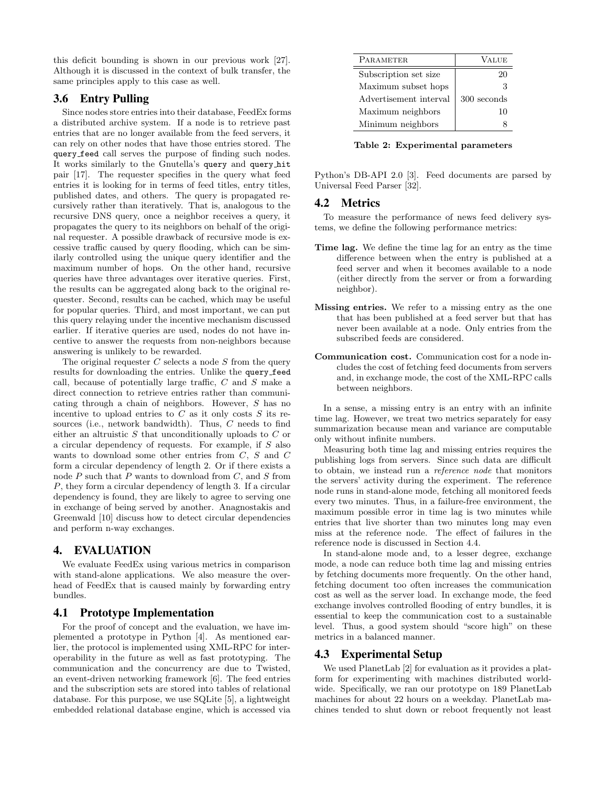this deficit bounding is shown in our previous work [27]. Although it is discussed in the context of bulk transfer, the same principles apply to this case as well.

# **3.6 Entry Pulling**

Since nodes store entries into their database, FeedEx forms a distributed archive system. If a node is to retrieve past entries that are no longer available from the feed servers, it can rely on other nodes that have those entries stored. The query feed call serves the purpose of finding such nodes. It works similarly to the Gnutella's query and query hit pair [17]. The requester specifies in the query what feed entries it is looking for in terms of feed titles, entry titles, published dates, and others. The query is propagated recursively rather than iteratively. That is, analogous to the recursive DNS query, once a neighbor receives a query, it propagates the query to its neighbors on behalf of the original requester. A possible drawback of recursive mode is excessive traffic caused by query flooding, which can be similarly controlled using the unique query identifier and the maximum number of hops. On the other hand, recursive queries have three advantages over iterative queries. First, the results can be aggregated along back to the original requester. Second, results can be cached, which may be useful for popular queries. Third, and most important, we can put this query relaying under the incentive mechanism discussed earlier. If iterative queries are used, nodes do not have incentive to answer the requests from non-neighbors because answering is unlikely to be rewarded.

The original requester  $C$  selects a node  $S$  from the query results for downloading the entries. Unlike the query feed call, because of potentially large traffic, C and S make a direct connection to retrieve entries rather than communicating through a chain of neighbors. However, S has no incentive to upload entries to  $C$  as it only costs  $S$  its resources (i.e., network bandwidth). Thus, C needs to find either an altruistic S that unconditionally uploads to C or a circular dependency of requests. For example, if S also wants to download some other entries from C, S and C form a circular dependency of length 2. Or if there exists a node  $P$  such that  $P$  wants to download from  $C$ , and  $S$  from P, they form a circular dependency of length 3. If a circular dependency is found, they are likely to agree to serving one in exchange of being served by another. Anagnostakis and Greenwald [10] discuss how to detect circular dependencies and perform n-way exchanges.

# **4. EVALUATION**

We evaluate FeedEx using various metrics in comparison with stand-alone applications. We also measure the overhead of FeedEx that is caused mainly by forwarding entry bundles.

# **4.1 Prototype Implementation**

For the proof of concept and the evaluation, we have implemented a prototype in Python [4]. As mentioned earlier, the protocol is implemented using XML-RPC for interoperability in the future as well as fast prototyping. The communication and the concurrency are due to Twisted, an event-driven networking framework [6]. The feed entries and the subscription sets are stored into tables of relational database. For this purpose, we use SQLite [5], a lightweight embedded relational database engine, which is accessed via

| PARAMETER              | Value       |
|------------------------|-------------|
| Subscription set size  | 20          |
| Maximum subset hops    | З           |
| Advertisement interval | 300 seconds |
| Maximum neighbors      | 10          |
| Minimum neighbors      |             |

Table 2: Experimental parameters

Python's DB-API 2.0 [3]. Feed documents are parsed by Universal Feed Parser [32].

# **4.2 Metrics**

To measure the performance of news feed delivery systems, we define the following performance metrics:

- Time lag. We define the time lag for an entry as the time difference between when the entry is published at a feed server and when it becomes available to a node (either directly from the server or from a forwarding neighbor).
- Missing entries. We refer to a missing entry as the one that has been published at a feed server but that has never been available at a node. Only entries from the subscribed feeds are considered.
- Communication cost. Communication cost for a node includes the cost of fetching feed documents from servers and, in exchange mode, the cost of the XML-RPC calls between neighbors.

In a sense, a missing entry is an entry with an infinite time lag. However, we treat two metrics separately for easy summarization because mean and variance are computable only without infinite numbers.

Measuring both time lag and missing entries requires the publishing logs from servers. Since such data are difficult to obtain, we instead run a reference node that monitors the servers' activity during the experiment. The reference node runs in stand-alone mode, fetching all monitored feeds every two minutes. Thus, in a failure-free environment, the maximum possible error in time lag is two minutes while entries that live shorter than two minutes long may even miss at the reference node. The effect of failures in the reference node is discussed in Section 4.4.

In stand-alone mode and, to a lesser degree, exchange mode, a node can reduce both time lag and missing entries by fetching documents more frequently. On the other hand, fetching document too often increases the communication cost as well as the server load. In exchange mode, the feed exchange involves controlled flooding of entry bundles, it is essential to keep the communication cost to a sustainable level. Thus, a good system should "score high" on these metrics in a balanced manner.

# **4.3 Experimental Setup**

We used PlanetLab [2] for evaluation as it provides a platform for experimenting with machines distributed worldwide. Specifically, we ran our prototype on 189 PlanetLab machines for about 22 hours on a weekday. PlanetLab machines tended to shut down or reboot frequently not least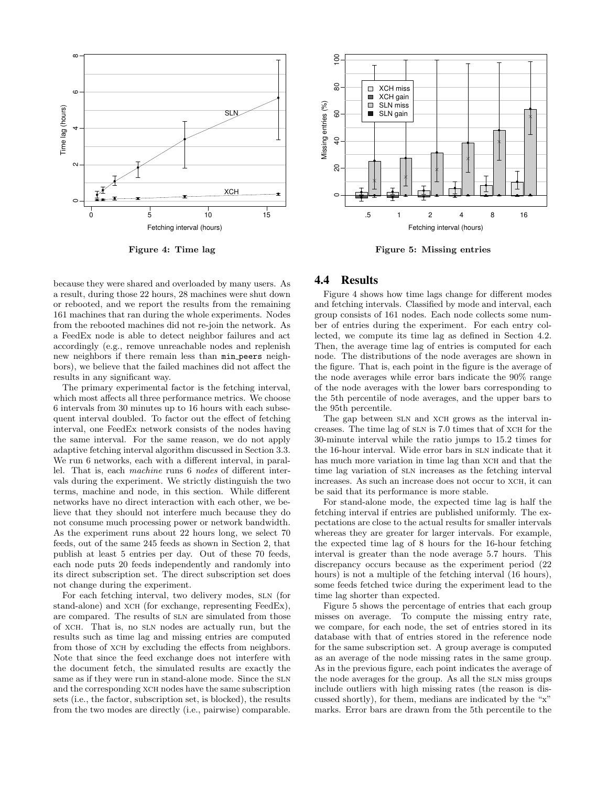

Figure 4: Time lag

because they were shared and overloaded by many users. As a result, during those 22 hours, 28 machines were shut down or rebooted, and we report the results from the remaining 161 machines that ran during the whole experiments. Nodes from the rebooted machines did not re-join the network. As a FeedEx node is able to detect neighbor failures and act accordingly (e.g., remove unreachable nodes and replenish new neighbors if there remain less than min peers neighbors), we believe that the failed machines did not affect the results in any significant way.

The primary experimental factor is the fetching interval, which most affects all three performance metrics. We choose 6 intervals from 30 minutes up to 16 hours with each subsequent interval doubled. To factor out the effect of fetching interval, one FeedEx network consists of the nodes having the same interval. For the same reason, we do not apply adaptive fetching interval algorithm discussed in Section 3.3. We run 6 networks, each with a different interval, in parallel. That is, each machine runs 6 nodes of different intervals during the experiment. We strictly distinguish the two terms, machine and node, in this section. While different networks have no direct interaction with each other, we believe that they should not interfere much because they do not consume much processing power or network bandwidth. As the experiment runs about 22 hours long, we select 70 feeds, out of the same 245 feeds as shown in Section 2, that publish at least 5 entries per day. Out of these 70 feeds, each node puts 20 feeds independently and randomly into its direct subscription set. The direct subscription set does not change during the experiment.

For each fetching interval, two delivery modes, SLN (for stand-alone) and XCH (for exchange, representing FeedEx), are compared. The results of SLN are simulated from those of xch. That is, no sln nodes are actually run, but the results such as time lag and missing entries are computed from those of xch by excluding the effects from neighbors. Note that since the feed exchange does not interfere with the document fetch, the simulated results are exactly the same as if they were run in stand-alone mode. Since the SLN and the corresponding xch nodes have the same subscription sets (i.e., the factor, subscription set, is blocked), the results from the two modes are directly (i.e., pairwise) comparable.



Figure 5: Missing entries

#### **4.4 Results**

Figure 4 shows how time lags change for different modes and fetching intervals. Classified by mode and interval, each group consists of 161 nodes. Each node collects some number of entries during the experiment. For each entry collected, we compute its time lag as defined in Section 4.2. Then, the average time lag of entries is computed for each node. The distributions of the node averages are shown in the figure. That is, each point in the figure is the average of the node averages while error bars indicate the 90% range of the node averages with the lower bars corresponding to the 5th percentile of node averages, and the upper bars to the 95th percentile.

The gap between SLN and XCH grows as the interval increases. The time lag of sln is 7.0 times that of xch for the 30-minute interval while the ratio jumps to 15.2 times for the 16-hour interval. Wide error bars in SLN indicate that it has much more variation in time lag than  $XCH$  and that the time lag variation of SLN increases as the fetching interval increases. As such an increase does not occur to xch, it can be said that its performance is more stable.

For stand-alone mode, the expected time lag is half the fetching interval if entries are published uniformly. The expectations are close to the actual results for smaller intervals whereas they are greater for larger intervals. For example, the expected time lag of 8 hours for the 16-hour fetching interval is greater than the node average 5.7 hours. This discrepancy occurs because as the experiment period (22 hours) is not a multiple of the fetching interval  $(16 \text{ hours})$ , some feeds fetched twice during the experiment lead to the time lag shorter than expected.

Figure 5 shows the percentage of entries that each group misses on average. To compute the missing entry rate, we compare, for each node, the set of entries stored in its database with that of entries stored in the reference node for the same subscription set. A group average is computed as an average of the node missing rates in the same group. As in the previous figure, each point indicates the average of the node averages for the group. As all the SLN miss groups include outliers with high missing rates (the reason is discussed shortly), for them, medians are indicated by the "x" marks. Error bars are drawn from the 5th percentile to the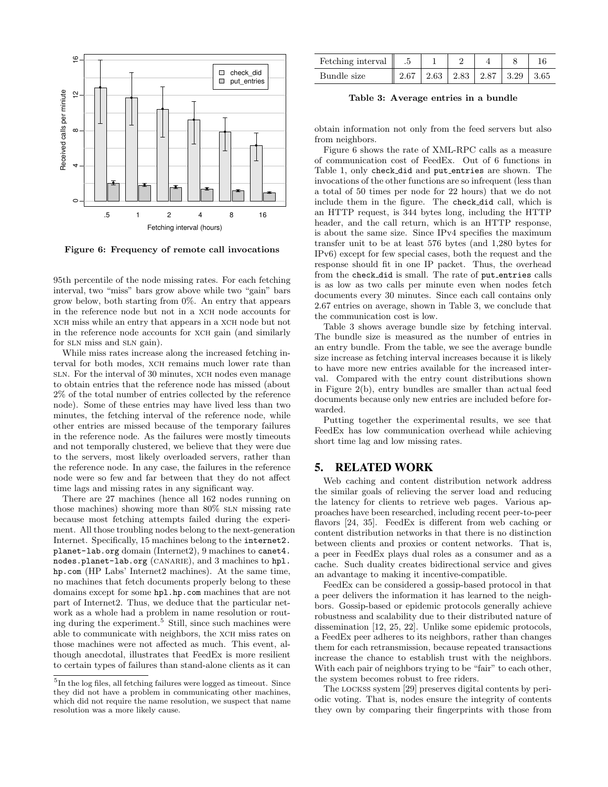

Figure 6: Frequency of remote call invocations

95th percentile of the node missing rates. For each fetching interval, two "miss" bars grow above while two "gain" bars grow below, both starting from 0%. An entry that appears in the reference node but not in a xch node accounts for xch miss while an entry that appears in a xch node but not in the reference node accounts for xch gain (and similarly for SLN miss and SLN gain).

While miss rates increase along the increased fetching interval for both modes, xch remains much lower rate than sln. For the interval of 30 minutes, xch nodes even manage to obtain entries that the reference node has missed (about 2% of the total number of entries collected by the reference node). Some of these entries may have lived less than two minutes, the fetching interval of the reference node, while other entries are missed because of the temporary failures in the reference node. As the failures were mostly timeouts and not temporally clustered, we believe that they were due to the servers, most likely overloaded servers, rather than the reference node. In any case, the failures in the reference node were so few and far between that they do not affect time lags and missing rates in any significant way.

There are 27 machines (hence all 162 nodes running on those machines) showing more than  $80\%$  SLN missing rate because most fetching attempts failed during the experiment. All those troubling nodes belong to the next-generation Internet. Specifically, 15 machines belong to the internet2. planet-lab.org domain (Internet2), 9 machines to canet4. nodes.planet-lab.org (CANARIE), and 3 machines to hpl. hp.com (HP Labs' Internet2 machines). At the same time, no machines that fetch documents properly belong to these domains except for some hpl.hp.com machines that are not part of Internet2. Thus, we deduce that the particular network as a whole had a problem in name resolution or routing during the experiment.<sup>5</sup> Still, since such machines were able to communicate with neighbors, the XCH miss rates on those machines were not affected as much. This event, although anecdotal, illustrates that FeedEx is more resilient to certain types of failures than stand-alone clients as it can

| Fetching interval $\parallel$ |  |  |                                            |  |
|-------------------------------|--|--|--------------------------------------------|--|
| Bundle size                   |  |  | $2.63$   $2.83$   $2.87$   $3.29$   $3.65$ |  |

Table 3: Average entries in a bundle

obtain information not only from the feed servers but also from neighbors.

Figure 6 shows the rate of XML-RPC calls as a measure of communication cost of FeedEx. Out of 6 functions in Table 1, only check did and put entries are shown. The invocations of the other functions are so infrequent (less than a total of 50 times per node for 22 hours) that we do not include them in the figure. The check did call, which is an HTTP request, is 344 bytes long, including the HTTP header, and the call return, which is an HTTP response, is about the same size. Since IPv4 specifies the maximum transfer unit to be at least 576 bytes (and 1,280 bytes for IPv6) except for few special cases, both the request and the response should fit in one IP packet. Thus, the overhead from the check did is small. The rate of put entries calls is as low as two calls per minute even when nodes fetch documents every 30 minutes. Since each call contains only 2.67 entries on average, shown in Table 3, we conclude that the communication cost is low.

Table 3 shows average bundle size by fetching interval. The bundle size is measured as the number of entries in an entry bundle. From the table, we see the average bundle size increase as fetching interval increases because it is likely to have more new entries available for the increased interval. Compared with the entry count distributions shown in Figure 2(b), entry bundles are smaller than actual feed documents because only new entries are included before forwarded.

Putting together the experimental results, we see that FeedEx has low communication overhead while achieving short time lag and low missing rates.

## **5. RELATED WORK**

Web caching and content distribution network address the similar goals of relieving the server load and reducing the latency for clients to retrieve web pages. Various approaches have been researched, including recent peer-to-peer flavors [24, 35]. FeedEx is different from web caching or content distribution networks in that there is no distinction between clients and proxies or content networks. That is, a peer in FeedEx plays dual roles as a consumer and as a cache. Such duality creates bidirectional service and gives an advantage to making it incentive-compatible.

FeedEx can be considered a gossip-based protocol in that a peer delivers the information it has learned to the neighbors. Gossip-based or epidemic protocols generally achieve robustness and scalability due to their distributed nature of dissemination [12, 25, 22]. Unlike some epidemic protocols, a FeedEx peer adheres to its neighbors, rather than changes them for each retransmission, because repeated transactions increase the chance to establish trust with the neighbors. With each pair of neighbors trying to be "fair" to each other, the system becomes robust to free riders.

The lockss system [29] preserves digital contents by periodic voting. That is, nodes ensure the integrity of contents they own by comparing their fingerprints with those from

<sup>&</sup>lt;sup>5</sup>In the log files, all fetching failures were logged as timeout. Since they did not have a problem in communicating other machines, which did not require the name resolution, we suspect that name resolution was a more likely cause.